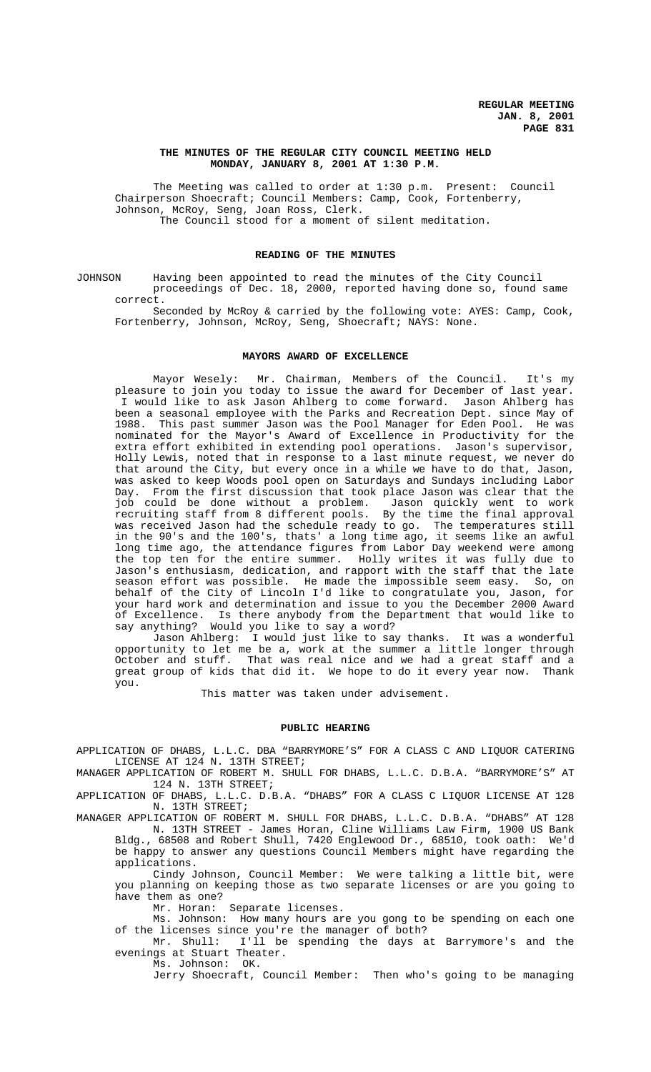## **THE MINUTES OF THE REGULAR CITY COUNCIL MEETING HELD MONDAY, JANUARY 8, 2001 AT 1:30 P.M.**

The Meeting was called to order at 1:30 p.m. Present: Council Chairperson Shoecraft; Council Members: Camp, Cook, Fortenberry, Johnson, McRoy, Seng, Joan Ross, Clerk. The Council stood for a moment of silent meditation.

# **READING OF THE MINUTES**

JOHNSON Having been appointed to read the minutes of the City Council proceedings of Dec. 18, 2000, reported having done so, found same correct.

Seconded by McRoy & carried by the following vote: AYES: Camp, Cook, Fortenberry, Johnson, McRoy, Seng, Shoecraft; NAYS: None.

#### **MAYORS AWARD OF EXCELLENCE**

Mayor Wesely: Mr. Chairman, Members of the Council. It's my pleasure to join you today to issue the award for December of last year. I would like to ask Jason Ahlberg to come forward. Jason Ahlberg has been a seasonal employee with the Parks and Recreation Dept. since May of 1988. This past summer Jason was the Pool Manager for Eden Pool. He was nominated for the Mayor's Award of Excellence in Productivity for the extra effort exhibited in extending pool operations. Jason's supervisor, Holly Lewis, noted that in response to a last minute request, we never do that around the City, but every once in a while we have to do that, Jason, was asked to keep Woods pool open on Saturdays and Sundays including Labor Day. From the first discussion that took place Jason was clear that the job could be done without a problem. Jason quickly went to work recruiting staff from 8 different pools. By the time the final approval was received Jason had the schedule ready to go. The temperatures still in the 90's and the 100's, thats' a long time ago, it seems like an awful long time ago, the attendance figures from Labor Day weekend were among the top ten for the entire summer. Holly writes it was fully due to Jason's enthusiasm, dedication, and rapport with the staff that the late season effort was possible. He made the impossible seem easy. So, on behalf of the City of Lincoln I'd like to congratulate you, Jason, for your hard work and determination and issue to you the December 2000 Award of Excellence. Is there anybody from the Department that would like to say anything? Would you like to say a word?

Jason Ahlberg: I would just like to say thanks. It was a wonderful opportunity to let me be a, work at the summer a little longer through October and stuff. That was real nice and we had a great staff and a great group of kids that did it. We hope to do it every year now. Thank you.

This matter was taken under advisement.

#### **PUBLIC HEARING**

APPLICATION OF DHABS, L.L.C. DBA "BARRYMORE'S" FOR A CLASS C AND LIQUOR CATERING LICENSE AT 124 N. 13TH STREET;

MANAGER APPLICATION OF ROBERT M. SHULL FOR DHABS, L.L.C. D.B.A. "BARRYMORE'S" AT 124 N. 13TH STREET;

APPLICATION OF DHABS, L.L.C. D.B.A. "DHABS" FOR A CLASS C LIQUOR LICENSE AT 128 N. 13TH STREET;

MANAGER APPLICATION OF ROBERT M. SHULL FOR DHABS, L.L.C. D.B.A. "DHABS" AT 128 N. 13TH STREET - James Horan, Cline Williams Law Firm, 1900 US Bank Bldg., 68508 and Robert Shull, 7420 Englewood Dr., 68510, took oath: We'd

be happy to answer any questions Council Members might have regarding the applications. Cindy Johnson, Council Member: We were talking a little bit, were

you planning on keeping those as two separate licenses or are you going to have them as one?

Mr. Horan: Separate licenses.

Ms. Johnson: How many hours are you gong to be spending on each one of the licenses since you're the manager of both?

Mr. Shull: I'll be spending the days at Barrymore's and the evenings at Stuart Theater.

Ms. Johnson: OK.

Jerry Shoecraft, Council Member: Then who's going to be managing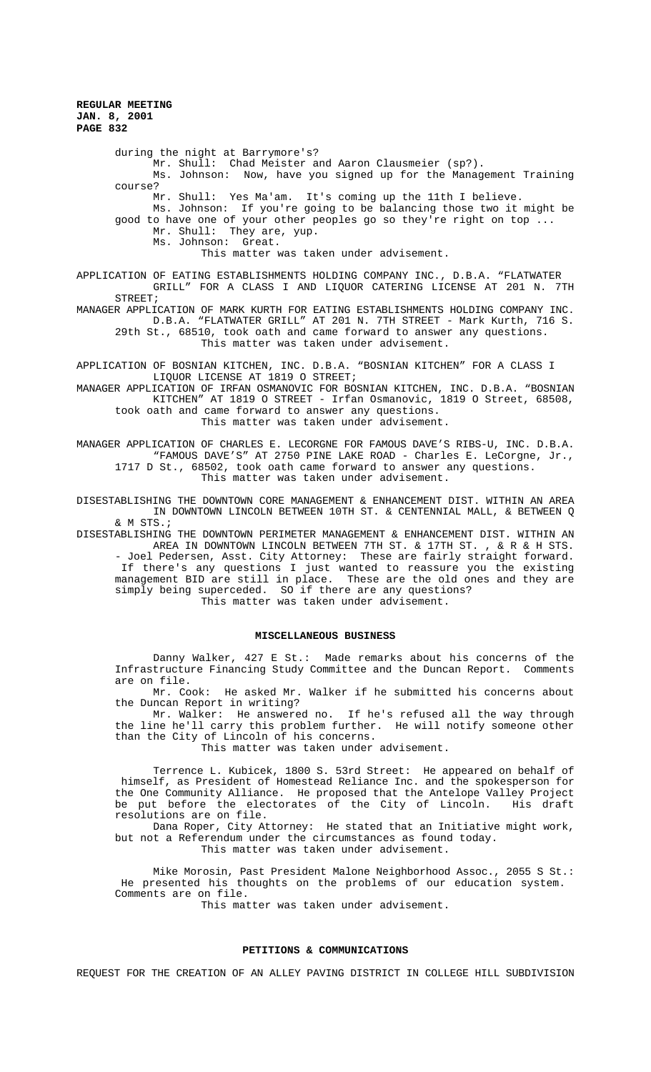during the night at Barrymore's? Mr. Shull: Chad Meister and Aaron Clausmeier (sp?). Ms. Johnson: Now, have you signed up for the Management Training course? Mr. Shull: Yes Ma'am. It's coming up the 11th I believe. Ms. Johnson: If you're going to be balancing those two it might be good to have one of your other peoples go so they're right on top ... Mr. Shull: They are, yup. Ms. Johnson: Great. This matter was taken under advisement. APPLICATION OF EATING ESTABLISHMENTS HOLDING COMPANY INC., D.B.A. "FLATWATER GRILL" FOR A CLASS I AND LIQUOR CATERING LICENSE AT 201 N. 7TH STREET; MANAGER APPLICATION OF MARK KURTH FOR EATING ESTABLISHMENTS HOLDING COMPANY INC. D.B.A. "FLATWATER GRILL" AT 201 N. 7TH STREET - Mark Kurth, 716 S. 29th St., 68510, took oath and came forward to answer any questions. This matter was taken under advisement. APPLICATION OF BOSNIAN KITCHEN, INC. D.B.A. "BOSNIAN KITCHEN" FOR A CLASS I LIQUOR LICENSE AT 1819 O STREET; MANAGER APPLICATION OF IRFAN OSMANOVIC FOR BOSNIAN KITCHEN, INC. D.B.A. "BOSNIAN KITCHEN" AT 1819 O STREET - Irfan Osmanovic, 1819 O Street, 68508, took oath and came forward to answer any questions. This matter was taken under advisement.

MANAGER APPLICATION OF CHARLES E. LECORGNE FOR FAMOUS DAVE'S RIBS-U, INC. D.B.A. "FAMOUS DAVE'S" AT 2750 PINE LAKE ROAD - Charles E. LeCorgne, Jr., 1717 D St., 68502, took oath came forward to answer any questions. This matter was taken under advisement.

DISESTABLISHING THE DOWNTOWN CORE MANAGEMENT & ENHANCEMENT DIST. WITHIN AN AREA IN DOWNTOWN LINCOLN BETWEEN 10TH ST. & CENTENNIAL MALL, & BETWEEN Q & M STS.;

DISESTABLISHING THE DOWNTOWN PERIMETER MANAGEMENT & ENHANCEMENT DIST. WITHIN AN AREA IN DOWNTOWN LINCOLN BETWEEN 7TH ST. & 17TH ST. , & R & H STS. - Joel Pedersen, Asst. City Attorney: These are fairly straight forward. If there's any questions I just wanted to reassure you the existing management BID are still in place. These are the old ones and they are simply being superceded. SO if there are any questions?

This matter was taken under advisement.

# **MISCELLANEOUS BUSINESS**

Danny Walker, 427 E St.: Made remarks about his concerns of the Infrastructure Financing Study Committee and the Duncan Report. Comments are on file.

Mr. Cook: He asked Mr. Walker if he submitted his concerns about the Duncan Report in writing?

Mr. Walker: He answered no. If he's refused all the way through the line he'll carry this problem further. He will notify someone other than the City of Lincoln of his concerns.

This matter was taken under advisement.

Terrence L. Kubicek, 1800 S. 53rd Street: He appeared on behalf of himself, as President of Homestead Reliance Inc. and the spokesperson for the One Community Alliance. He proposed that the Antelope Valley Project be put before the electorates of the City of Lincoln. His draft resolutions are on file.

Dana Roper, City Attorney: He stated that an Initiative might work, but not a Referendum under the circumstances as found today.

This matter was taken under advisement.

Mike Morosin, Past President Malone Neighborhood Assoc., 2055 S St.: He presented his thoughts on the problems of our education system. Comments are on file.

This matter was taken under advisement.

#### **PETITIONS & COMMUNICATIONS**

REQUEST FOR THE CREATION OF AN ALLEY PAVING DISTRICT IN COLLEGE HILL SUBDIVISION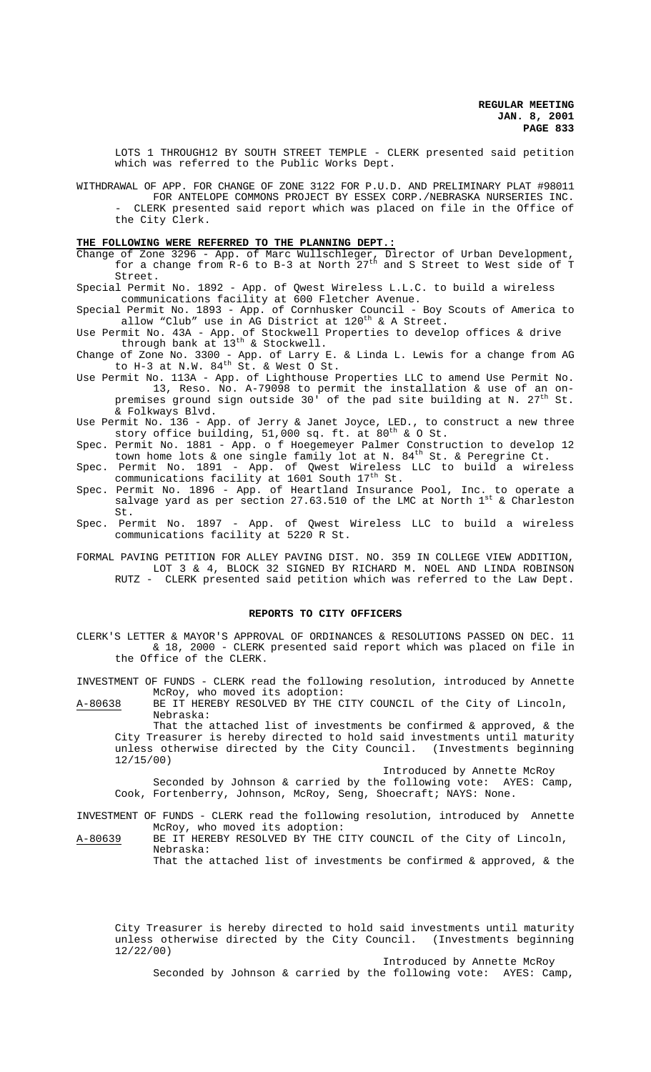LOTS 1 THROUGH12 BY SOUTH STREET TEMPLE - CLERK presented said petition which was referred to the Public Works Dept.

WITHDRAWAL OF APP. FOR CHANGE OF ZONE 3122 FOR P.U.D. AND PRELIMINARY PLAT #98011 FOR ANTELOPE COMMONS PROJECT BY ESSEX CORP./NEBRASKA NURSERIES INC. - CLERK presented said report which was placed on file in the Office of the City Clerk.

# **THE FOLLOWING WERE REFERRED TO THE PLANNING DEPT.:**

- Change of Zone 3296 App. of Marc Wullschleger, Director of Urban Development, for a change from R-6 to B-3 at North  $27^{\text{th}}$  and S Street to West side of T Street.
- Special Permit No. 1892 App. of Qwest Wireless L.L.C. to build a wireless communications facility at 600 Fletcher Avenue.
- Special Permit No. 1893 App. of Cornhusker Council Boy Scouts of America to allow "Club" use in AG District at  $120^{th}$  & A Street.
- Use Permit No. 43A App. of Stockwell Properties to develop offices & drive through bank at  $13<sup>th</sup>$  & Stockwell.
- Change of Zone No. 3300 App. of Larry E. & Linda L. Lewis for a change from AG to H-3 at N.W.  $84<sup>th</sup>$  St. & West O St.
- Use Permit No. 113A App. of Lighthouse Properties LLC to amend Use Permit No. 13, Reso. No. A-79098 to permit the installation & use of an onpremises ground sign outside 30' of the pad site building at N. 27 $^{\rm th}$  St. & Folkways Blvd.
- Use Permit No. 136 App. of Jerry & Janet Joyce, LED., to construct a new three story office building, 51,000 sq. ft. at  $80^{\text{th}}$  & O St.
- Spec. Permit No. 1881 App. o f Hoegemeyer Palmer Construction to develop 12 town home lots & one single family lot at N. 84<sup>th</sup> St. & Peregrine Ct.
- Spec. Permit No. 1891 App. of Qwest Wireless LLC to build a wireless communications facility at 1601 South 17<sup>th</sup> St.
- Spec. Permit No. 1896 App. of Heartland Insurance Pool, Inc. to operate a salvage yard as per section 27.63.510 of the LMC at North  $1^{st}$  & Charleston St.
- Spec. Permit No. 1897 App. of Qwest Wireless LLC to build a wireless communications facility at 5220 R St.
- FORMAL PAVING PETITION FOR ALLEY PAVING DIST. NO. 359 IN COLLEGE VIEW ADDITION, LOT 3 & 4, BLOCK 32 SIGNED BY RICHARD M. NOEL AND LINDA ROBINSON RUTZ - CLERK presented said petition which was referred to the Law Dept.

## **REPORTS TO CITY OFFICERS**

CLERK'S LETTER & MAYOR'S APPROVAL OF ORDINANCES & RESOLUTIONS PASSED ON DEC. 11 & 18, 2000 - CLERK presented said report which was placed on file in the Office of the CLERK.

INVESTMENT OF FUNDS - CLERK read the following resolution, introduced by Annette McRoy, who moved its adoption:

A-80638 BE IT HEREBY RESOLVED BY THE CITY COUNCIL of the City of Lincoln, Nebraska:

That the attached list of investments be confirmed & approved, & the City Treasurer is hereby directed to hold said investments until maturity unless otherwise directed by the City Council. (Investments beginning 12/15/00)

Introduced by Annette McRoy

Seconded by Johnson & carried by the following vote: AYES: Camp, Cook, Fortenberry, Johnson, McRoy, Seng, Shoecraft; NAYS: None.

# INVESTMENT OF FUNDS - CLERK read the following resolution, introduced by Annette McRoy, who moved its adoption:

A-80639 BE IT HEREBY RESOLVED BY THE CITY COUNCIL of the City of Lincoln, Nebraska: That the attached list of investments be confirmed  $\&$  approved,  $\&$  the

City Treasurer is hereby directed to hold said investments until maturity unless otherwise directed by the City Council. (Investments beginning 12/22/00)

Introduced by Annette McRoy

Seconded by Johnson & carried by the following vote: AYES: Camp,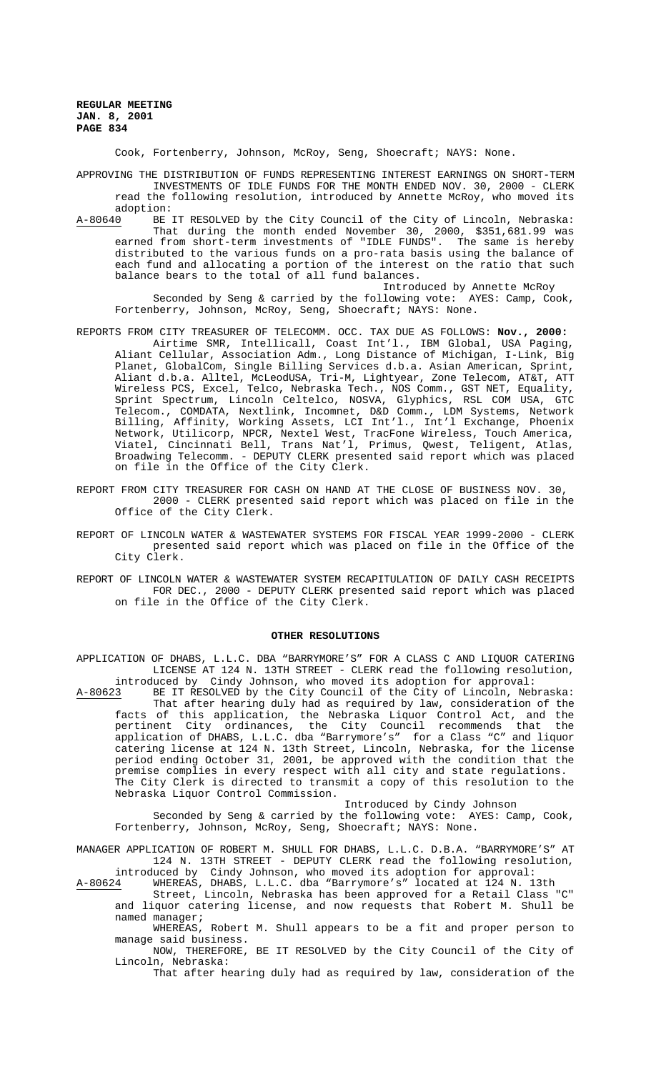Cook, Fortenberry, Johnson, McRoy, Seng, Shoecraft; NAYS: None.

APPROVING THE DISTRIBUTION OF FUNDS REPRESENTING INTEREST EARNINGS ON SHORT-TERM INVESTMENTS OF IDLE FUNDS FOR THE MONTH ENDED NOV. 30, 2000 - CLERK read the following resolution, introduced by Annette McRoy, who moved its adoption:

A-80640 BE IT RESOLVED by the City Council of the City of Lincoln, Nebraska: That during the month ended November 30, 2000, \$351,681.99 was earned from short-term investments of "IDLE FUNDS". The same is hereby distributed to the various funds on a pro-rata basis using the balance of each fund and allocating a portion of the interest on the ratio that such balance bears to the total of all fund balances.

Introduced by Annette McRoy Seconded by Seng & carried by the following vote: AYES: Camp, Cook, Fortenberry, Johnson, McRoy, Seng, Shoecraft; NAYS: None.

- REPORTS FROM CITY TREASURER OF TELECOMM. OCC. TAX DUE AS FOLLOWS: **Nov., 2000:**  Airtime SMR, Intellicall, Coast Int'l., IBM Global, USA Paging, Aliant Cellular, Association Adm., Long Distance of Michigan, I-Link, Big Planet, GlobalCom, Single Billing Services d.b.a. Asian American, Sprint, Aliant d.b.a. Alltel, McLeodUSA, Tri-M, Lightyear, Zone Telecom, AT&T, ATT Wireless PCS, Excel, Telco, Nebraska Tech., NOS Comm., GST NET, Equality, Sprint Spectrum, Lincoln Celtelco, NOSVA, Glyphics, RSL COM USA, GTC Telecom., COMDATA, Nextlink, Incomnet, D&D Comm., LDM Systems, Network Billing, Affinity, Working Assets, LCI Int'l., Int'l Exchange, Phoenix Network, Utilicorp, NPCR, Nextel West, TracFone Wireless, Touch America, Viatel, Cincinnati Bell, Trans Nat'l, Primus, Qwest, Teligent, Atlas, Broadwing Telecomm. - DEPUTY CLERK presented said report which was placed on file in the Office of the City Clerk.
- REPORT FROM CITY TREASURER FOR CASH ON HAND AT THE CLOSE OF BUSINESS NOV. 30, 2000 - CLERK presented said report which was placed on file in the Office of the City Clerk.
- REPORT OF LINCOLN WATER & WASTEWATER SYSTEMS FOR FISCAL YEAR 1999-2000 CLERK presented said report which was placed on file in the Office of the City Clerk.
- REPORT OF LINCOLN WATER & WASTEWATER SYSTEM RECAPITULATION OF DAILY CASH RECEIPTS FOR DEC., 2000 - DEPUTY CLERK presented said report which was placed on file in the Office of the City Clerk.

## **OTHER RESOLUTIONS**

APPLICATION OF DHABS, L.L.C. DBA "BARRYMORE'S" FOR A CLASS C AND LIQUOR CATERING LICENSE AT 124 N. 13TH STREET - CLERK read the following resolution, introduced by Cindy Johnson, who moved its adoption for approval:<br>A-80623 BE IT RESOLVED by the City Council of the City of Lincoln, Neb

BE IT RESOLVED by the City Council of the City of Lincoln, Nebraska: That after hearing duly had as required by law, consideration of the facts of this application, the Nebraska Liquor Control Act, and the pertinent City ordinances, the City Council recommends that the application of DHABS, L.L.C. dba "Barrymore's" for a Class "C" and liquor catering license at 124 N. 13th Street, Lincoln, Nebraska, for the license period ending October 31, 2001, be approved with the condition that the premise complies in every respect with all city and state regulations. The City Clerk is directed to transmit a copy of this resolution to the Nebraska Liquor Control Commission.

Introduced by Cindy Johnson

Seconded by Seng & carried by the following vote: AYES: Camp, Cook, Fortenberry, Johnson, McRoy, Seng, Shoecraft; NAYS: None.

MANAGER APPLICATION OF ROBERT M. SHULL FOR DHABS, L.L.C. D.B.A. "BARRYMORE'S" AT 124 N. 13TH STREET - DEPUTY CLERK read the following resolution, introduced by Cindy Johnson, who moved its adoption for approval:

A-80624 WHEREAS, DHABS, L.L.C. dba "Barrymore's" located at 124 N. 13th

Street, Lincoln, Nebraska has been approved for a Retail Class "C" and liquor catering license, and now requests that Robert M. Shull be named manager;

WHEREAS, Robert M. Shull appears to be a fit and proper person to manage said business.

NOW, THEREFORE, BE IT RESOLVED by the City Council of the City of Lincoln, Nebraska:

That after hearing duly had as required by law, consideration of the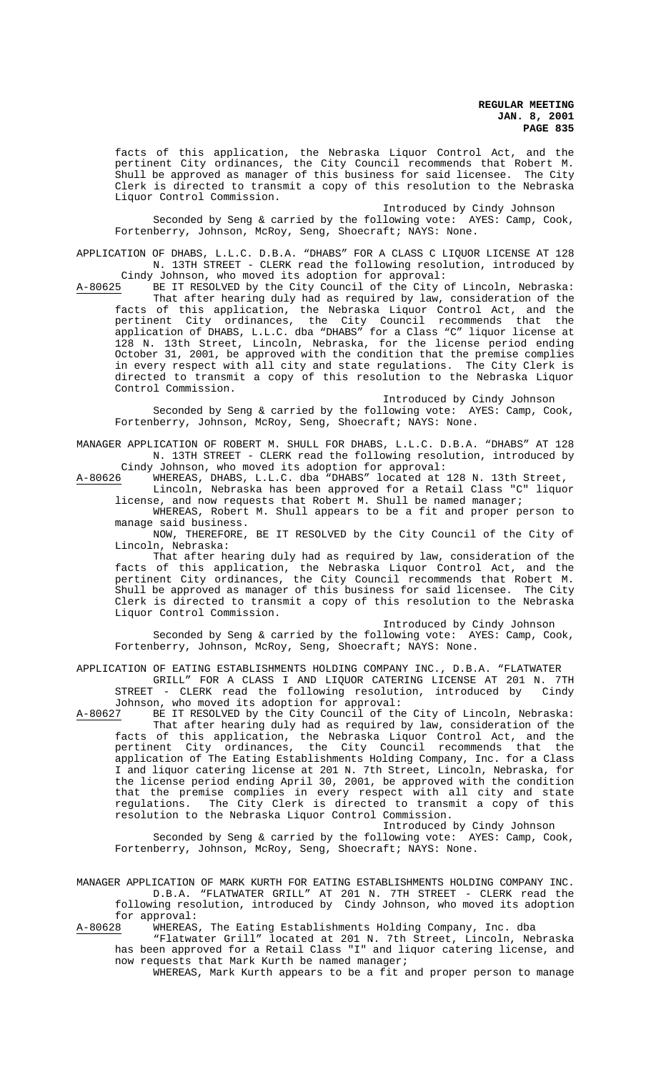facts of this application, the Nebraska Liquor Control Act, and the pertinent City ordinances, the City Council recommends that Robert M. Shull be approved as manager of this business for said licensee. The City Clerk is directed to transmit a copy of this resolution to the Nebraska Liquor Control Commission.

Introduced by Cindy Johnson

Seconded by Seng & carried by the following vote: AYES: Camp, Cook, Fortenberry, Johnson, McRoy, Seng, Shoecraft; NAYS: None.

APPLICATION OF DHABS, L.L.C. D.B.A. "DHABS" FOR A CLASS C LIQUOR LICENSE AT 128 N. 13TH STREET - CLERK read the following resolution, introduced by

Cindy Johnson, who moved its adoption for approval:<br>A-80625 BE IT RESOLVED by the City Council of the City of BE IT RESOLVED by the City Council of the City of Lincoln, Nebraska: That after hearing duly had as required by law, consideration of the facts of this application, the Nebraska Liquor Control Act, and the pertinent City ordinances, the City Council recommends that the application of DHABS, L.L.C. dba "DHABS" for a Class "C" liquor license at 128 N. 13th Street, Lincoln, Nebraska, for the license period ending October 31, 2001, be approved with the condition that the premise complies in every respect with all city and state regulations. The City Clerk is directed to transmit a copy of this resolution to the Nebraska Liquor Control Commission.

Introduced by Cindy Johnson Seconded by Seng & carried by the following vote: AYES: Camp, Cook, Fortenberry, Johnson, McRoy, Seng, Shoecraft; NAYS: None.

MANAGER APPLICATION OF ROBERT M. SHULL FOR DHABS, L.L.C. D.B.A. "DHABS" AT 128 N. 13TH STREET - CLERK read the following resolution, introduced by

Cindy Johnson, who moved its adoption for approval:<br>A-80626 WHEREAS, DHABS, L.L.C. dba "DHABS" located at A-80626 WHEREAS, DHABS, L.L.C. dba "DHABS" located at 128 N. 13th Street, Lincoln, Nebraska has been approved for a Retail Class "C" liquor

license, and now requests that Robert M. Shull be named manager; WHEREAS, Robert M. Shull appears to be a fit and proper person to

manage said business.

NOW, THEREFORE, BE IT RESOLVED by the City Council of the City of Lincoln, Nebraska:

That after hearing duly had as required by law, consideration of the facts of this application, the Nebraska Liquor Control Act, and the pertinent City ordinances, the City Council recommends that Robert M. Shull be approved as manager of this business for said licensee. The City Clerk is directed to transmit a copy of this resolution to the Nebraska Liquor Control Commission.

Introduced by Cindy Johnson Seconded by Seng & carried by the following vote: AYES: Camp, Cook, Fortenberry, Johnson, McRoy, Seng, Shoecraft; NAYS: None.

APPLICATION OF EATING ESTABLISHMENTS HOLDING COMPANY INC., D.B.A. "FLATWATER"<br>GRILL" FOR A CLASS I AND LJOUOR CATERING LICENSE AT 201 N. 7TH GRILL" FOR A CLASS I AND LIQUOR CATERING LICENSE AT 201 N. 7TH STREET - CLERK read the following resolution, introduced by Cindy

Johnson, who moved its adoption for approval:<br>A-80627 BE IT RESOLVED by the City Council of the BE IT RESOLVED by the City Council of the City of Lincoln, Nebraska: That after hearing duly had as required by law, consideration of the facts of this application, the Nebraska Liquor Control Act, and the pertinent City ordinances, the City Council recommends that the application of The Eating Establishments Holding Company, Inc. for a Class I and liquor catering license at 201 N. 7th Street, Lincoln, Nebraska, for the license period ending April 30, 2001, be approved with the condition that the premise complies in every respect with all city and state regulations. The City Clerk is directed to transmit a copy of this resolution to the Nebraska Liquor Control Commission.

Introduced by Cindy Johnson

Seconded by Seng & carried by the following vote: AYES: Camp, Cook, Fortenberry, Johnson, McRoy, Seng, Shoecraft; NAYS: None.

MANAGER APPLICATION OF MARK KURTH FOR EATING ESTABLISHMENTS HOLDING COMPANY INC. D.B.A. "FLATWATER GRILL" AT 201 N. 7TH STREET - CLERK read the following resolution, introduced by Cindy Johnson, who moved its adoption for approval:

A-80628 WHEREAS, The Eating Establishments Holding Company, Inc. dba

"Flatwater Grill" located at 201 N. 7th Street, Lincoln, Nebraska has been approved for a Retail Class "I" and liquor catering license, and now requests that Mark Kurth be named manager;

WHEREAS, Mark Kurth appears to be a fit and proper person to manage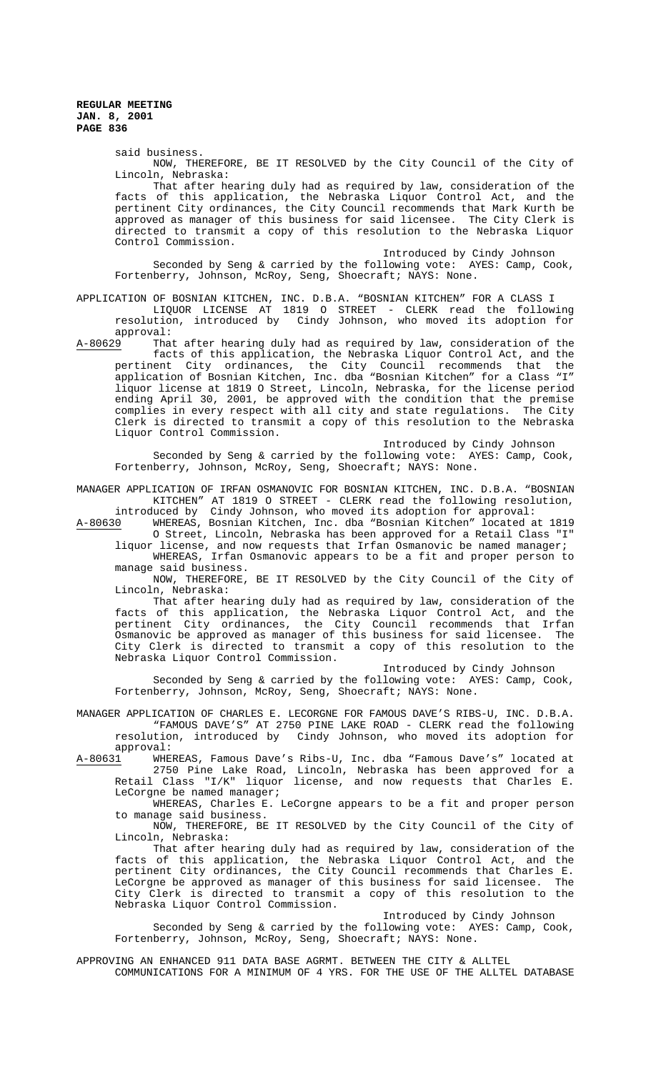said business.

NOW, THEREFORE, BE IT RESOLVED by the City Council of the City of Lincoln, Nebraska:

That after hearing duly had as required by law, consideration of the facts of this application, the Nebraska Liquor Control Act, and the pertinent City ordinances, the City Council recommends that Mark Kurth be approved as manager of this business for said licensee. The City Clerk is directed to transmit a copy of this resolution to the Nebraska Liquor Control Commission.

## Introduced by Cindy Johnson

Seconded by Seng & carried by the following vote: AYES: Camp, Cook, Fortenberry, Johnson, McRoy, Seng, Shoecraft; NAYS: None.

# APPLICATION OF BOSNIAN KITCHEN, INC. D.B.A. "BOSNIAN KITCHEN" FOR A CLASS I

LIQUOR LICENSE AT 1819 O STREET - CLERK read the following resolution, introduced by Cindy Johnson, who moved its adoption for approval:<br>A-80629 That

A-80629 That after hearing duly had as required by law, consideration of the facts of this application, the Nebraska Liquor Control Act, and the pertinent City ordinances, the City Council recommends that the application of Bosnian Kitchen, Inc. dba "Bosnian Kitchen" for a Class "I" liquor license at 1819 O Street, Lincoln, Nebraska, for the license period ending April 30, 2001, be approved with the condition that the premise complies in every respect with all city and state regulations. The City Clerk is directed to transmit a copy of this resolution to the Nebraska Liquor Control Commission.

Introduced by Cindy Johnson

Seconded by Seng & carried by the following vote: AYES: Camp, Cook, Fortenberry, Johnson, McRoy, Seng, Shoecraft; NAYS: None.

MANAGER APPLICATION OF IRFAN OSMANOVIC FOR BOSNIAN KITCHEN, INC. D.B.A. "BOSNIAN KITCHEN" AT 1819 O STREET - CLERK read the following resolution, introduced by Cindy Johnson, who moved its adoption for approval:

A-80630 WHEREAS, Bosnian Kitchen, Inc. dba "Bosnian Kitchen" located at 1819 O Street, Lincoln, Nebraska has been approved for a Retail Class "I" liquor license, and now requests that Irfan Osmanovic be named manager;

WHEREAS, Irfan Osmanovic appears to be a fit and proper person to manage said business.

NOW, THEREFORE, BE IT RESOLVED by the City Council of the City of Lincoln, Nebraska:

That after hearing duly had as required by law, consideration of the facts of this application, the Nebraska Liquor Control Act, and the pertinent City ordinances, the City Council recommends that Irfan Osmanovic be approved as manager of this business for said licensee. The City Clerk is directed to transmit a copy of this resolution to the Nebraska Liquor Control Commission.

Introduced by Cindy Johnson

Seconded by Seng & carried by the following vote: AYES: Camp, Cook, Fortenberry, Johnson, McRoy, Seng, Shoecraft; NAYS: None.

MANAGER APPLICATION OF CHARLES E. LECORGNE FOR FAMOUS DAVE'S RIBS-U, INC. D.B.A. "FAMOUS DAVE'S" AT 2750 PINE LAKE ROAD - CLERK read the following resolution, introduced by Cindy Johnson, who moved its adoption for

approval:<br>A-80<u>631</u> WHE WHEREAS, Famous Dave's Ribs-U, Inc. dba "Famous Dave's" located at 2750 Pine Lake Road, Lincoln, Nebraska has been approved for a Retail Class "I/K" liquor license, and now requests that Charles E. LeCorgne be named manager;

WHEREAS, Charles E. LeCorgne appears to be a fit and proper person to manage said business.

NOW, THEREFORE, BE IT RESOLVED by the City Council of the City of Lincoln, Nebraska:

That after hearing duly had as required by law, consideration of the facts of this application, the Nebraska Liquor Control Act, and the pertinent City ordinances, the City Council recommends that Charles E. LeCorgne be approved as manager of this business for said licensee. The City Clerk is directed to transmit a copy of this resolution to the Nebraska Liquor Control Commission.

Introduced by Cindy Johnson

Seconded by Seng & carried by the following vote: AYES: Camp, Cook, Fortenberry, Johnson, McRoy, Seng, Shoecraft; NAYS: None.

APPROVING AN ENHANCED 911 DATA BASE AGRMT. BETWEEN THE CITY & ALLTEL

COMMUNICATIONS FOR A MINIMUM OF 4 YRS. FOR THE USE OF THE ALLTEL DATABASE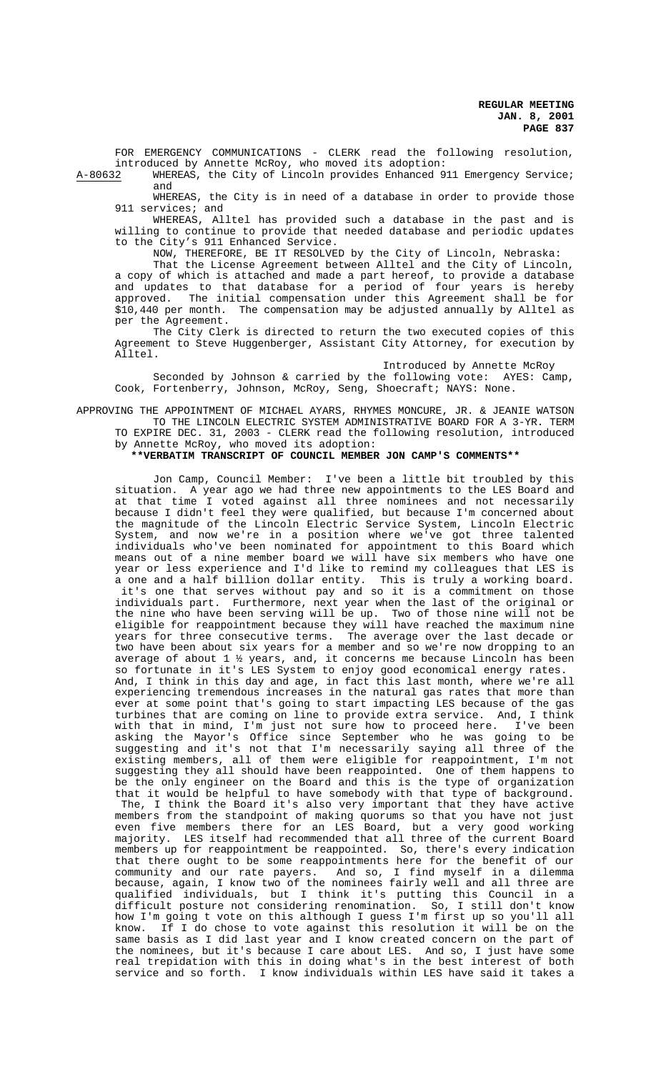FOR EMERGENCY COMMUNICATIONS - CLERK read the following resolution, introduced by Annette McRoy, who moved its adoption:<br>A-80632 WHEREAS, the City of Lincoln provides Enhanced 9

WHEREAS, the City of Lincoln provides Enhanced 911 Emergency Service; and

WHEREAS, the City is in need of a database in order to provide those 911 services; and

WHEREAS, Alltel has provided such a database in the past and is willing to continue to provide that needed database and periodic updates to the City's 911 Enhanced Service.

NOW, THEREFORE, BE IT RESOLVED by the City of Lincoln, Nebraska:

That the License Agreement between Alltel and the City of Lincoln, a copy of which is attached and made a part hereof, to provide a database and updates to that database for a period of four years is hereby approved. The initial compensation under this Agreement shall be for \$10,440 per month. The compensation may be adjusted annually by Alltel as per the Agreement.

The City Clerk is directed to return the two executed copies of this Agreement to Steve Huggenberger, Assistant City Attorney, for execution by Alltel.

Introduced by Annette McRoy

Seconded by Johnson & carried by the following vote: AYES: Camp, Cook, Fortenberry, Johnson, McRoy, Seng, Shoecraft; NAYS: None.

APPROVING THE APPOINTMENT OF MICHAEL AYARS, RHYMES MONCURE, JR. & JEANIE WATSON TO THE LINCOLN ELECTRIC SYSTEM ADMINISTRATIVE BOARD FOR A 3-YR. TERM

TO EXPIRE DEC. 31, 2003 - CLERK read the following resolution, introduced by Annette McRoy, who moved its adoption:

**\*\*VERBATIM TRANSCRIPT OF COUNCIL MEMBER JON CAMP'S COMMENTS\*\***

Jon Camp, Council Member: I've been a little bit troubled by this situation. A year ago we had three new appointments to the LES Board and at that time I voted against all three nominees and not necessarily because I didn't feel they were qualified, but because I'm concerned about the magnitude of the Lincoln Electric Service System, Lincoln Electric System, and now we're in a position where we've got three talented individuals who've been nominated for appointment to this Board which means out of a nine member board we will have six members who have one wears out of a nine member source as the remind my colleagues that LES is a one and a half billion dollar entity. This is truly a working board. it's one that serves without pay and so it is a commitment on those individuals part. Furthermore, next year when the last of the original or the nine who have been serving will be up. Two of those nine will not be eligible for reappointment because they will have reached the maximum nine years for three consecutive terms. The average over the last decade or two have been about six years for a member and so we're now dropping to an average of about 1 ½ years, and, it concerns me because Lincoln has been so fortunate in it's LES System to enjoy good economical energy rates. And, I think in this day and age, in fact this last month, where we're all experiencing tremendous increases in the natural gas rates that more than ever at some point that's going to start impacting LES because of the gas turbines that are coming on line to provide extra service. And, I think with that in mind, I'm just not sure how to proceed here. I've been asking the Mayor's Office since September who he was going to be suggesting and it's not that I'm necessarily saying all three of the existing members, all of them were eligible for reappointment, I'm not suggesting they all should have been reappointed. One of them happens to be the only engineer on the Board and this is the type of organization that it would be helpful to have somebody with that type of background. The, I think the Board it's also very important that they have active members from the standpoint of making quorums so that you have not just even five members there for an LES Board, but a very good working majority. LES itself had recommended that all three of the current Board members up for reappointment be reappointed. So, there's every indication that there ought to be some reappointments here for the benefit of our community and our rate payers. And so, I find myself in a dilemma because, again, I know two of the nominees fairly well and all three are qualified individuals, but I think it's putting this Council in a difficult posture not considering renomination. So, I still don't know how I'm going t vote on this although I guess I'm first up so you'll all know. If I do chose to vote against this resolution it will be on the same basis as I did last year and I know created concern on the part of the nominees, but it's because I care about LES. And so, I just have some real trepidation with this in doing what's in the best interest of both service and so forth. I know individuals within LES have said it takes a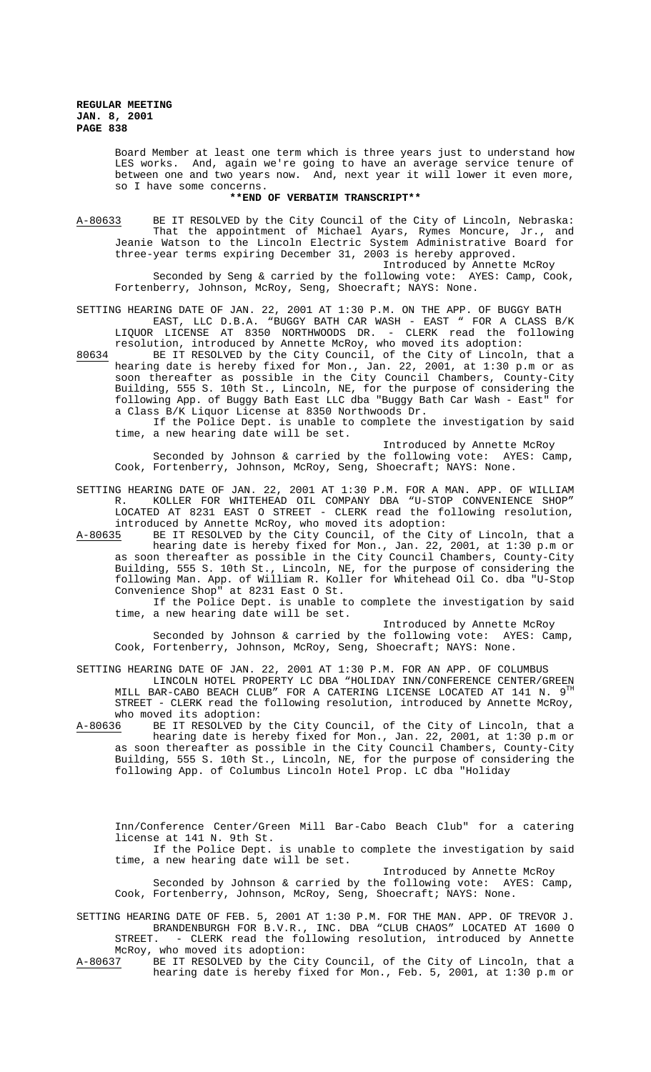Board Member at least one term which is three years just to understand how LES works. And, again we're going to have an average service tenure of between one and two years now. And, next year it will lower it even more, so I have some concerns.

## **\*\*END OF VERBATIM TRANSCRIPT\*\***

A-80633 BE IT RESOLVED by the City Council of the City of Lincoln, Nebraska: That the appointment of Michael Ayars, Rymes Moncure, Jr., and Jeanie Watson to the Lincoln Electric System Administrative Board for three-year terms expiring December 31, 2003 is hereby approved.

Introduced by Annette McRoy Seconded by Seng & carried by the following vote: AYES: Camp, Cook, Fortenberry, Johnson, McRoy, Seng, Shoecraft; NAYS: None.

SETTING HEARING DATE OF JAN. 22, 2001 AT 1:30 P.M. ON THE APP. OF BUGGY BATH EAST, LLC D.B.A. "BUGGY BATH CAR WASH - EAST " FOR A CLASS B/K LIQUOR LICENSE AT 8350 NORTHWOODS DR. - CLERK read the following resolution, introduced by Annette McRoy, who moved its adoption:

80634 BE IT RESOLVED by the City Council, of the City of Lincoln, that a hearing date is hereby fixed for Mon., Jan. 22, 2001, at 1:30 p.m or as soon thereafter as possible in the City Council Chambers, County-City Building, 555 S. 10th St., Lincoln, NE, for the purpose of considering the following App. of Buggy Bath East LLC dba "Buggy Bath Car Wash - East" for a Class B/K Liquor License at 8350 Northwoods Dr.

If the Police Dept. is unable to complete the investigation by said time, a new hearing date will be set.

Introduced by Annette McRoy Seconded by Johnson & carried by the following vote: AYES: Camp, Cook, Fortenberry, Johnson, McRoy, Seng, Shoecraft; NAYS: None.

# SETTING HEARING DATE OF JAN. 22, 2001 AT 1:30 P.M. FOR A MAN. APP. OF WILLIAM R. KOLLER FOR WHITEHEAD OIL COMPANY DBA "U-STOP CONVENIENCE SHOP" LOCATED AT 8231 EAST O STREET - CLERK read the following resolution, introduced by Annette McRoy, who moved its adoption:

A-80635 BE IT RESOLVED by the City Council, of the City of Lincoln, that a hearing date is hereby fixed for Mon., Jan. 22, 2001, at 1:30 p.m or as soon thereafter as possible in the City Council Chambers, County-City Building, 555 S. 10th St., Lincoln, NE, for the purpose of considering the following Man. App. of William R. Koller for Whitehead Oil Co. dba "U-Stop Convenience Shop" at 8231 East O St.

If the Police Dept. is unable to complete the investigation by said time, a new hearing date will be set.

#### Introduced by Annette McRoy

Seconded by Johnson & carried by the following vote: AYES: Camp, Cook, Fortenberry, Johnson, McRoy, Seng, Shoecraft; NAYS: None.

SETTING HEARING DATE OF JAN. 22, 2001 AT 1:30 P.M. FOR AN APP. OF COLUMBUS LINCOLN HOTEL PROPERTY LC DBA "HOLIDAY INN/CONFERENCE CENTER/GREEN MILL BAR-CABO BEACH CLUB" FOR A CATERING LICENSE LOCATED AT  $141$  N.  $9^{T1}$ STREET - CLERK read the following resolution, introduced by Annette McRoy, who moved its adoption:<br>A-80636 BE IT RESOLVED by

BE IT RESOLVED by the City Council, of the City of Lincoln, that a hearing date is hereby fixed for Mon., Jan. 22, 2001, at 1:30 p.m or as soon thereafter as possible in the City Council Chambers, County-City Building, 555 S. 10th St., Lincoln, NE, for the purpose of considering the following App. of Columbus Lincoln Hotel Prop. LC dba "Holiday

Inn/Conference Center/Green Mill Bar-Cabo Beach Club" for a catering license at 141 N. 9th St.

If the Police Dept. is unable to complete the investigation by said time, a new hearing date will be set. Introduced by Annette McRoy

Seconded by Johnson & carried by the following vote: AYES: Camp, Cook, Fortenberry, Johnson, McRoy, Seng, Shoecraft; NAYS: None.

SETTING HEARING DATE OF FEB. 5, 2001 AT 1:30 P.M. FOR THE MAN. APP. OF TREVOR J. BRANDENBURGH FOR B.V.R., INC. DBA "CLUB CHAOS" LOCATED AT 1600 O STREET. - CLERK read the following resolution, introduced by Annette McRoy, who moved its adoption:

A-80637 BE IT RESOLVED by the City Council, of the City of Lincoln, that a hearing date is hereby fixed for Mon., Feb. 5, 2001, at 1:30 p.m or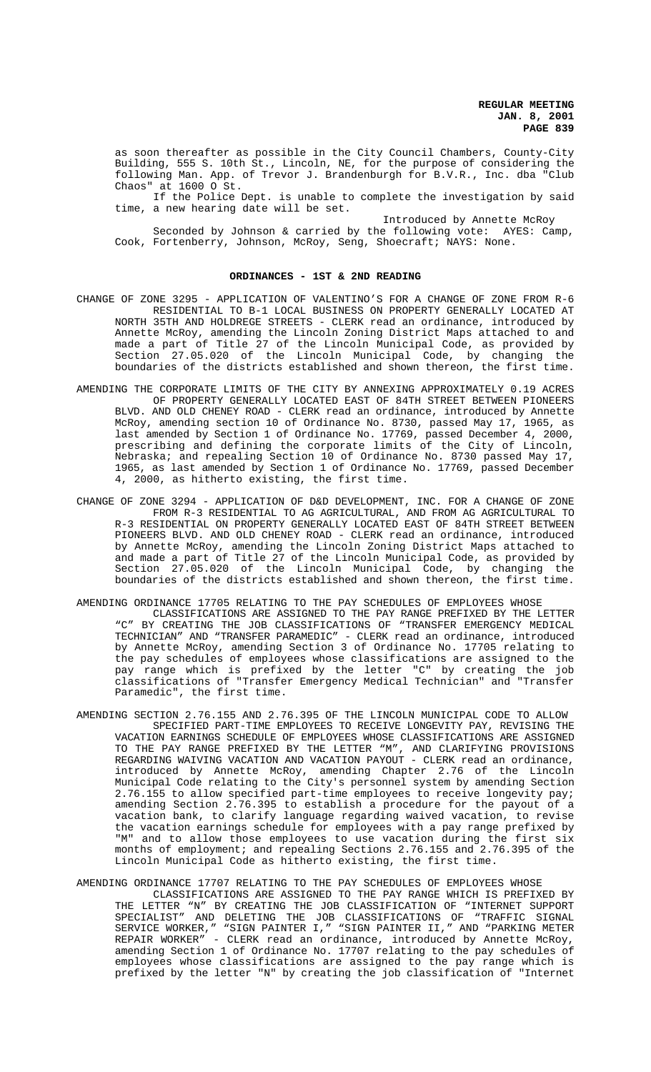as soon thereafter as possible in the City Council Chambers, County-City Building, 555 S. 10th St., Lincoln, NE, for the purpose of considering the following Man. App. of Trevor J. Brandenburgh for B.V.R., Inc. dba "Club Chaos" at 1600 O St.

If the Police Dept. is unable to complete the investigation by said time, a new hearing date will be set.

Introduced by Annette McRoy Seconded by Johnson & carried by the following vote: AYES: Camp, Cook, Fortenberry, Johnson, McRoy, Seng, Shoecraft; NAYS: None.

# **ORDINANCES - 1ST & 2ND READING**

- CHANGE OF ZONE 3295 APPLICATION OF VALENTINO'S FOR A CHANGE OF ZONE FROM R-6 RESIDENTIAL TO B-1 LOCAL BUSINESS ON PROPERTY GENERALLY LOCATED AT NORTH 35TH AND HOLDREGE STREETS - CLERK read an ordinance, introduced by Annette McRoy, amending the Lincoln Zoning District Maps attached to and made a part of Title 27 of the Lincoln Municipal Code, as provided by Section 27.05.020 of the Lincoln Municipal Code, by changing the boundaries of the districts established and shown thereon, the first time.
- AMENDING THE CORPORATE LIMITS OF THE CITY BY ANNEXING APPROXIMATELY 0.19 ACRES OF PROPERTY GENERALLY LOCATED EAST OF 84TH STREET BETWEEN PIONEERS BLVD. AND OLD CHENEY ROAD - CLERK read an ordinance, introduced by Annette McRoy, amending section 10 of Ordinance No. 8730, passed May 17, 1965, as last amended by Section 1 of Ordinance No. 17769, passed December 4, 2000, prescribing and defining the corporate limits of the City of Lincoln, Nebraska; and repealing Section 10 of Ordinance No. 8730 passed May 17, 1965, as last amended by Section 1 of Ordinance No. 17769, passed December 4, 2000, as hitherto existing, the first time.
- CHANGE OF ZONE 3294 APPLICATION OF D&D DEVELOPMENT, INC. FOR A CHANGE OF ZONE FROM R-3 RESIDENTIAL TO AG AGRICULTURAL, AND FROM AG AGRICULTURAL TO R-3 RESIDENTIAL ON PROPERTY GENERALLY LOCATED EAST OF 84TH STREET BETWEEN PIONEERS BLVD. AND OLD CHENEY ROAD - CLERK read an ordinance, introduced by Annette McRoy, amending the Lincoln Zoning District Maps attached to and made a part of Title 27 of the Lincoln Municipal Code, as provided by Section 27.05.020 of the Lincoln Municipal Code, by changing the boundaries of the districts established and shown thereon, the first time.
- AMENDING ORDINANCE 17705 RELATING TO THE PAY SCHEDULES OF EMPLOYEES WHOSE
	- CLASSIFICATIONS ARE ASSIGNED TO THE PAY RANGE PREFIXED BY THE LETTER "C" BY CREATING THE JOB CLASSIFICATIONS OF "TRANSFER EMERGENCY MEDICAL TECHNICIAN" AND "TRANSFER PARAMEDIC" - CLERK read an ordinance, introduced by Annette McRoy, amending Section 3 of Ordinance No. 17705 relating to the pay schedules of employees whose classifications are assigned to the pay range which is prefixed by the letter "C" by creating the job classifications of "Transfer Emergency Medical Technician" and "Transfer Paramedic", the first time.
- AMENDING SECTION 2.76.155 AND 2.76.395 OF THE LINCOLN MUNICIPAL CODE TO ALLOW SPECIFIED PART-TIME EMPLOYEES TO RECEIVE LONGEVITY PAY, REVISING THE VACATION EARNINGS SCHEDULE OF EMPLOYEES WHOSE CLASSIFICATIONS ARE ASSIGNED TO THE PAY RANGE PREFIXED BY THE LETTER "M", AND CLARIFYING PROVISIONS REGARDING WAIVING VACATION AND VACATION PAYOUT - CLERK read an ordinance, introduced by Annette McRoy, amending Chapter 2.76 of the Lincoln Municipal Code relating to the City's personnel system by amending Section 2.76.155 to allow specified part-time employees to receive longevity pay; amending Section 2.76.395 to establish a procedure for the payout of a vacation bank, to clarify language regarding waived vacation, to revise the vacation earnings schedule for employees with a pay range prefixed by "M" and to allow those employees to use vacation during the first six months of employment; and repealing Sections 2.76.155 and 2.76.395 of the Lincoln Municipal Code as hitherto existing, the first time.

# AMENDING ORDINANCE 17707 RELATING TO THE PAY SCHEDULES OF EMPLOYEES WHOSE

CLASSIFICATIONS ARE ASSIGNED TO THE PAY RANGE WHICH IS PREFIXED BY THE LETTER "N" BY CREATING THE JOB CLASSIFICATION OF "INTERNET SUPPORT SPECIALIST" AND DELETING THE JOB CLASSIFICATIONS OF "TRAFFIC SIGNAL SERVICE WORKER," "SIGN PAINTER I," "SIGN PAINTER II," AND "PARKING METER REPAIR WORKER" - CLERK read an ordinance, introduced by Annette McRoy, amending Section 1 of Ordinance No. 17707 relating to the pay schedules of employees whose classifications are assigned to the pay range which is prefixed by the letter "N" by creating the job classification of "Internet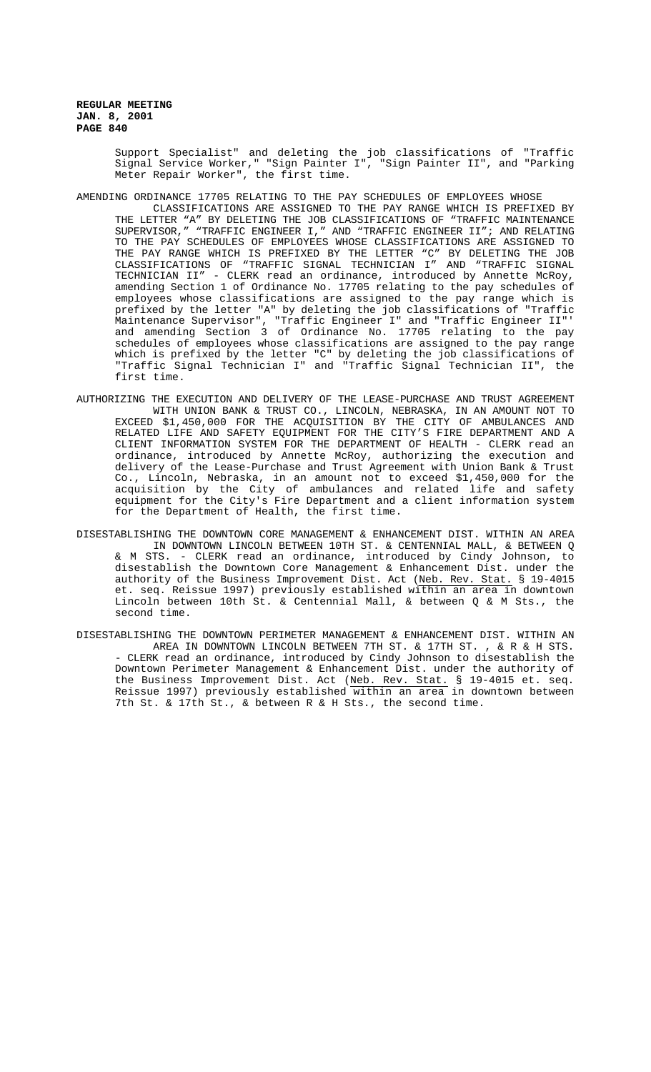> Support Specialist" and deleting the job classifications of "Traffic Signal Service Worker," "Sign Painter I", "Sign Painter II", and "Parking Meter Repair Worker", the first time.

- AMENDING ORDINANCE 17705 RELATING TO THE PAY SCHEDULES OF EMPLOYEES WHOSE
	- CLASSIFICATIONS ARE ASSIGNED TO THE PAY RANGE WHICH IS PREFIXED BY THE LETTER "A" BY DELETING THE JOB CLASSIFICATIONS OF "TRAFFIC MAINTENANCE SUPERVISOR," "TRAFFIC ENGINEER I," AND "TRAFFIC ENGINEER II"; AND RELATING TO THE PAY SCHEDULES OF EMPLOYEES WHOSE CLASSIFICATIONS ARE ASSIGNED TO THE PAY RANGE WHICH IS PREFIXED BY THE LETTER "C" BY DELETING THE JOB CLASSIFICATIONS OF "TRAFFIC SIGNAL TECHNICIAN I" AND "TRAFFIC SIGNAL TECHNICIAN II" - CLERK read an ordinance, introduced by Annette McRoy, amending Section 1 of Ordinance No. 17705 relating to the pay schedules of employees whose classifications are assigned to the pay range which is prefixed by the letter "A" by deleting the job classifications of "Traffic Maintenance Supervisor", "Traffic Engineer I" and "Traffic Engineer II"' and amending Section 3 of Ordinance No. 17705 relating to the pay schedules of employees whose classifications are assigned to the pay range which is prefixed by the letter "C" by deleting the job classifications of "Traffic Signal Technician I" and "Traffic Signal Technician II", the first time.
- AUTHORIZING THE EXECUTION AND DELIVERY OF THE LEASE-PURCHASE AND TRUST AGREEMENT WITH UNION BANK & TRUST CO., LINCOLN, NEBRASKA, IN AN AMOUNT NOT TO EXCEED \$1,450,000 FOR THE ACQUISITION BY THE CITY OF AMBULANCES AND RELATED LIFE AND SAFETY EQUIPMENT FOR THE CITY'S FIRE DEPARTMENT AND A CLIENT INFORMATION SYSTEM FOR THE DEPARTMENT OF HEALTH - CLERK read an ordinance, introduced by Annette McRoy, authorizing the execution and delivery of the Lease-Purchase and Trust Agreement with Union Bank & Trust Co., Lincoln, Nebraska, in an amount not to exceed \$1,450,000 for the acquisition by the City of ambulances and related life and safety equipment for the City's Fire Department and a client information system for the Department of Health, the first time.
- DISESTABLISHING THE DOWNTOWN CORE MANAGEMENT & ENHANCEMENT DIST. WITHIN AN AREA IN DOWNTOWN LINCOLN BETWEEN 10TH ST. & CENTENNIAL MALL, & BETWEEN Q & M STS. - CLERK read an ordinance, introduced by Cindy Johnson, to disestablish the Downtown Core Management & Enhancement Dist. under the authority of the Business Improvement Dist. Act (Neb. Rev. Stat. § 19-4015 et. seq. Reissue 1997) previously established within an area in downtown Lincoln between 10th St. & Centennial Mall, & between Q & M Sts., the second time.
- DISESTABLISHING THE DOWNTOWN PERIMETER MANAGEMENT & ENHANCEMENT DIST. WITHIN AN AREA IN DOWNTOWN LINCOLN BETWEEN 7TH ST. & 17TH ST. , & R & H STS. - CLERK read an ordinance, introduced by Cindy Johnson to disestablish the Downtown Perimeter Management & Enhancement Dist. under the authority of the Business Improvement Dist. Act (Neb. Rev. Stat. § 19-4015 et. seq. Reissue 1997) previously established within an area in downtown between 7th St. & 17th St., & between R & H Sts., the second time.